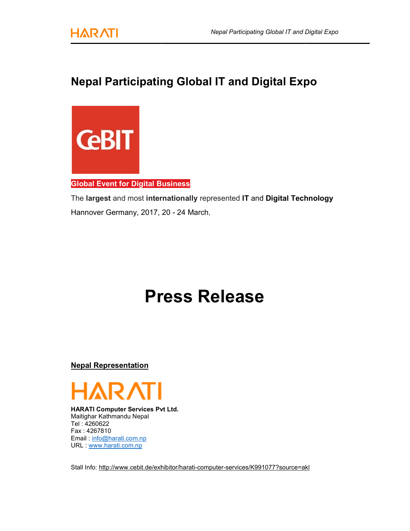

## Nepal Participating Global IT and Digital Expo Participating



## Global Event for Digital Business

The largest and most internationally represented IT and Digital Technology Hannover Germany, 2017, 20 - 24 March,

## Press Release<br><u>n</u><br>Exes Pvt Ltd.

Nepal Representation



HARATI Computer Services Pvt Ltd Maitighar Kathmandu Nepal Tel : 4260622 Fax : 4267810 Email : info@harati.com.np URL : www.harati.com.np

Stall Info: <u>http://www.cebit.de/exhibitor/harati-computer-services/K991077?source=akl</u>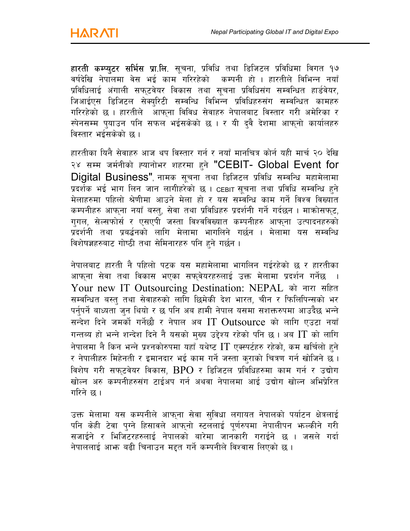हारती कम्प्युटर सर्भिस प्रा.लि. सूचना, प्रविधि तथा डिजिटल प्रविधिमा विगत १७ वर्षदेखि नेपालमा वेस भई काम<sup>े</sup>गरिरहेको कम्पनी हो । हारतीले विभिन्न नयाँ प्रविधिलाई अंगाली सफ्**टवेयर विकास तथा सूचना प्रविधिसंग सम्वन्धित** हार्डवेयर. जिआईएस डिजिटल सेक्युरिटी सम्वन्धि विभिन्न प्रविधिहरुसंग सम्वन्धित कामहरु गरिरहेको छ । हारतीले आफना विविध सेवाहरु नेपालबाट विस्तार गरी अमेरिका र स्पेनसम्म पुयाउन पनि सफल भईसकेको छ । र यी दुवै देशमा आफ्नो कार्यालहरु विस्तार भईसकेको छ ।

हारतीका यिनै सेवाहरु आज थप विस्तार गर्न र नयाँ मानचित्र कोर्न यही मार्च २० देखि २४ सम्म जर्मनीको ह्यानोभर शहरमा हुने "CEBIT- Global Event for  $Diqital$  Business" नामक सचना तथा डिजिटल प्रविधि सम्वन्धि महामेलामा प्रदर्शक भई भाग लिन जान लागीहरेको छ । CEBIT सचना तथा प्रविधि सम्वन्धि हने मेलाहरुमा पहिलो श्रेणीमा आउने मेला हो र यस सम्वन्धि काम गर्ने विश्व विख्यात कम्पनीहरु आफना नयाँ बस्त, सेवा तथा प्रविधिहरु प्रदर्शनी गर्ने गर्दछन । माक्रोसफट, गगल, सेल्सफोर्स र एसएपी जस्ता विश्वविख्यात कम्पनीहरु आफना उत्पादनहरुको प्रदर्शनी तथा प्रबर्द्धनको लागि मेलामा भागलिने गर्छन । मेलामा यस सम्वन्धि विशेषज्ञहरुबाट गोष्ठी तथा सेमिनारहरु पनि हने गर्छन ।

नेपालबाट हारती नै पहिलो पटक यस महामेलामा भागलिन गईरहेको छ र हारतीका आफुना सेवा तथा विकास भएका सफुवेयरहरुलाई उक्त मेलामा प्रदर्शन गर्नेछ । Your new IT Outsourcing Destination: NEPAL को नारा सहित सम्वन्धित बस्त् तथा सेवाहरुको लागि छिमेकी देश भारत, चीन र फिलिपिन्सको भर पर्नुपर्ने बाध्यता जुन थियो र छ पनि अब हामी नेपाल यसमा सशक्तरुपमा आउदैछ भन्ने सन्देश दिने जमकों गर्नेछौ र नेपाल अब  $\mathrm{IT}$  Outsource को लागि एउटा नयाँ गन्तब्य हो भन्ने शन्देश दिने नै यसको मुख्य उद्देश्य रहेको पनि छ। अब  $\text{IT}$  को लागि नेपालमा नै किन भन्ने प्रश्नकोरुपमा यहाँ यथेष्ट  $\boldsymbol{\Gamma}$  एक्स्पर्टहरु रहेको. कम खर्चिलो हने र नेपालीहरु मिहेनती र इमानदार भई काम गर्ने जस्ता कराको चित्रण गर्न खोजिने छ । विशेष गरी सफटवेयर विकास,  $BPO$  र डिजिटल प्रविधिहरुमा काम गर्न र उद्योग खोल्न अरु कम्पनीहरुसंग टाईअप गर्न अथवा नेपालमा आई उद्योग खोल्न अभिप्रेरित गरिने छ ।

उक्त मेलामा यस कम्पनीले आफुना सेवा सुविधा लगायत नेपालको पर्याटन क्षेत्रलाई पनि केही टेवा पुग्ने हिसावले आफ्**नो स्टललाई पूर्णरुपमा नेपालीपन भ<sub>े</sub>ल्कीने** गरी सजाईने र भिजिटरहरुलाई नेपालको बारेमा जानकारी गराईने छ । जसले गर्दा नेपाललाई आफ्त बढी चिनाउन महत गर्ने कम्पनीले विश्वास लिएको छ ।